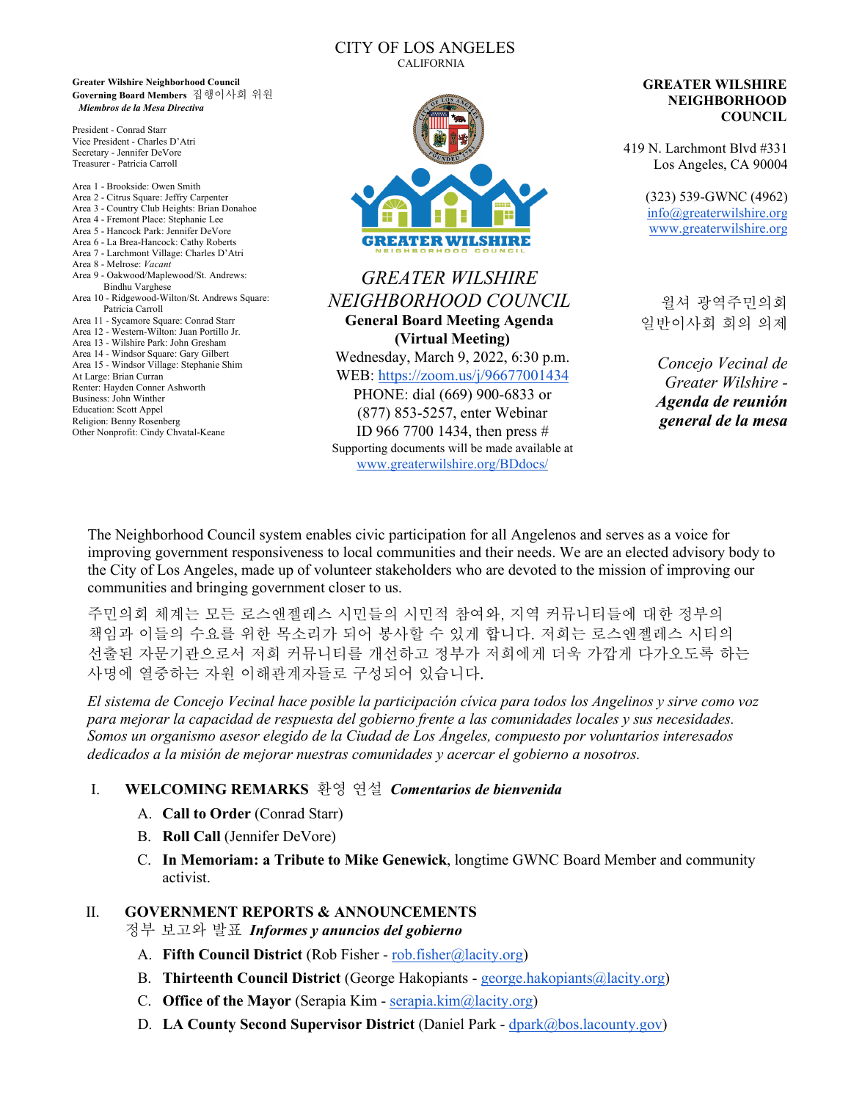#### CITY OF LOS ANGELES CALIFORNIA

**Greater Wilshire Neighborhood Council Governing Board Members** 집행이사회 위원 *Miembros de la Mesa Directiva*

President - Conrad Starr Vice President - Charles D'Atri Secretary - Jennifer DeVore Treasurer - Patricia Carroll

Area 1 - Brookside: Owen Smith Area 2 - Citrus Square: Jeffry Carpenter Area 3 - Country Club Heights: Brian Donahoe Area 4 - Fremont Place: Stephanie Lee Area 5 - Hancock Park: Jennifer DeVore Area 6 - La Brea-Hancock: Cathy Roberts Area 7 - Larchmont Village: Charles D'Atri Area 8 - Melrose: *Vacant* Area 9 - Oakwood/Maplewood/St. Andrews: Bindhu Varghese Area 10 - Ridgewood-Wilton/St. Andrews Square: Patricia Carroll Area 11 - Sycamore Square: Conrad Starr Area 12 - Western-Wilton: Juan Portillo Jr. Area 13 - Wilshire Park: John Gresham Area 14 - Windsor Square: Gary Gilbert Area 15 - Windsor Village: Stephanie Shim At Large: Brian Curran Renter: Hayden Conner Ashworth Business: John Winther Education: Scott Appel Religion: Benny Rosenberg Other Nonprofit: Cindy Chvatal-Keane



# *GREATER WILSHIRE NEIGHBORHOOD COUNCIL* **General Board Meeting Agenda (Virtual Meeting)** Wednesday, March 9, 2022, 6:30 p.m.

WEB:<https://zoom.us/j/96677001434> PHONE: dial (669) 900-6833 or (877) 853-5257, enter Webinar ID 966 7700 1434, then press # Supporting documents will be made available at [www.greaterwilshire.org/BDdocs/](http://www.greaterwilshire.org/BDdocs/)

#### **GREATER WILSHIRE NEIGHBORHOOD COUNCIL**

419 N. Larchmont Blvd #331 Los Angeles, CA 90004

> (323) 539-GWNC (4962) [info@greaterwilshire.org](mailto:info@greaterwilshire.org) [www.greaterwilshire.org](http://www.greaterwilshire.org/)

윌셔 광역주민의회 일반이사회 회의 의제

*Concejo Vecinal de Greater Wilshire - Agenda de reunión general de la mesa*

The Neighborhood Council system enables civic participation for all Angelenos and serves as a voice for improving government responsiveness to local communities and their needs. We are an elected advisory body to the City of Los Angeles, made up of volunteer stakeholders who are devoted to the mission of improving our communities and bringing government closer to us.

주민의회 체계는 모든 로스앤젤레스 시민들의 시민적 참여와, 지역 커뮤니티들에 대한 정부의 책임과 이들의 수요를 위한 목소리가 되어 봉사할 수 있게 합니다. 저희는 로스앤젤레스 시티의 선출된 자문기관으로서 저희 커뮤니티를 개선하고 정부가 저희에게 더욱 가깝게 다가오도록 하는 사명에 열중하는 자원 이해관계자들로 구성되어 있습니다.

*El sistema de Concejo Vecinal hace posible la participación cívica para todos los Angelinos y sirve como voz para mejorar la capacidad de respuesta del gobierno frente a las comunidades locales y sus necesidades. Somos un organismo asesor elegido de la Ciudad de Los Ángeles, compuesto por voluntarios interesados dedicados a la misión de mejorar nuestras comunidades y acercar el gobierno a nosotros.*

## I. **WELCOMING REMARKS** 환영 연설*Comentarios de bienvenida*

- A. **Call to Order** (Conrad Starr)
- B. **Roll Call** (Jennifer DeVore)
- C. **In Memoriam: a Tribute to Mike Genewick**, longtime GWNC Board Member and community activist.

### II. **GOVERNMENT REPORTS & ANNOUNCEMENTS**

정부 보고와 발표*Informes y anuncios del gobierno*

- A. **Fifth Council District** (Rob Fisher [rob.fisher@lacity.org\)](mailto:rob.fisher@lacity.org)
- B. **Thirteenth Council District** (George Hakopiants [george.hakopiants@lacity.org\)](mailto:george.hakopiants@lacity.org)
- C. **Office of the Mayor** (Serapia Kim [serapia.kim@lacity.org\)](mailto:serapia.kim@lacity.org)
- D. **LA County Second Supervisor District** (Daniel Park [dpark@bos.lacounty.gov\)](mailto:dpark@bos.lacounty.gov)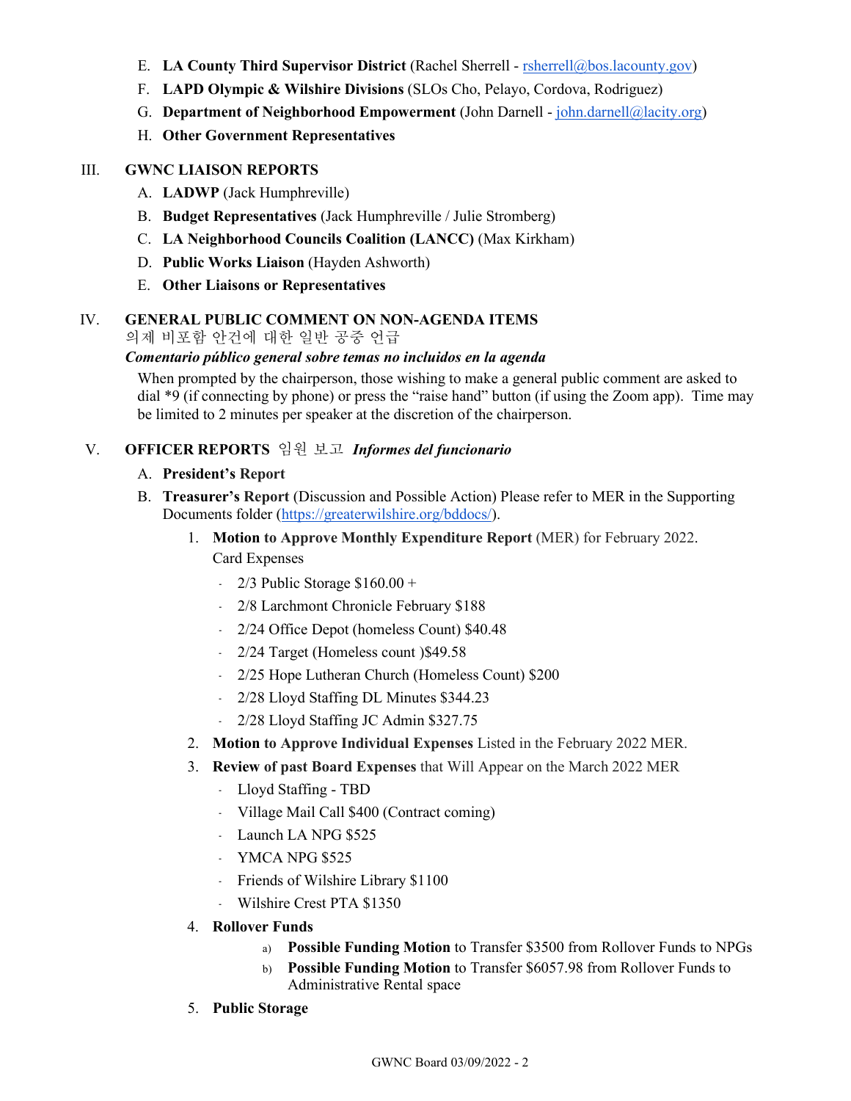- E. **LA County Third Supervisor District** (Rachel Sherrell [rsherrell@bos.lacounty.gov\)](mailto:rsherrell@bos.lacounty.gov)
- F. **LAPD Olympic & Wilshire Divisions** (SLOs Cho, Pelayo, Cordova, Rodriguez)
- G. **Department of Neighborhood Empowerment** (John Darnell [john.darnell@lacity.org\)](mailto:john.darnell@lacity.org)
- H. **Other Government Representatives**

#### III. **GWNC LIAISON REPORTS**

- A. **LADWP** (Jack Humphreville)
- B. **Budget Representatives** (Jack Humphreville / Julie Stromberg)
- C. **LA Neighborhood Councils Coalition (LANCC)** (Max Kirkham)
- D. **Public Works Liaison** (Hayden Ashworth)
- E. **Other Liaisons or Representatives**

### IV. **GENERAL PUBLIC COMMENT ON NON-AGENDA ITEMS**

의제 비포함 안건에 대한 일반 공중 언급

#### *Comentario público general sobre temas no incluidos en la agenda*

When prompted by the chairperson, those wishing to make a general public comment are asked to dial \*9 (if connecting by phone) or press the "raise hand" button (if using the Zoom app). Time may be limited to 2 minutes per speaker at the discretion of the chairperson.

### V. **OFFICER REPORTS** 임원 보고 *Informes del funcionario*

#### A. **President's Report**

- B. **Treasurer's Report** (Discussion and Possible Action) Please refer to MER in the Supporting Documents folder [\(https://greaterwilshire.org/bddocs/\)](https://greaterwilshire.org/bddocs/).
	- 1. **Motion to Approve Monthly Expenditure Report** (MER) for February 2022. Card Expenses
		- $\cdot$  2/3 Public Storage \$160.00 +
		- 2/8 Larchmont Chronicle February \$188
		- 2/24 Office Depot (homeless Count) \$40.48
		- 2/24 Target (Homeless count )\$49.58
		- 2/25 Hope Lutheran Church (Homeless Count) \$200
		- 2/28 Lloyd Staffing DL Minutes \$344.23
		- 2/28 Lloyd Staffing JC Admin \$327.75
	- 2. **Motion to Approve Individual Expenses** Listed in the February 2022 MER.
	- 3. **Review of past Board Expenses** that Will Appear on the March 2022 MER
		- Lloyd Staffing TBD
		- ﹣ Village Mail Call \$400 (Contract coming)
		- Launch LA NPG \$525
		- ﹣ YMCA NPG \$525
		- ﹣ Friends of Wilshire Library \$1100
		- ﹣ Wilshire Crest PTA \$1350
	- 4. **Rollover Funds**
		- a) **Possible Funding Motion** to Transfer \$3500 from Rollover Funds to NPGs
		- b) **Possible Funding Motion** to Transfer \$6057.98 from Rollover Funds to Administrative Rental space
	- 5. **Public Storage**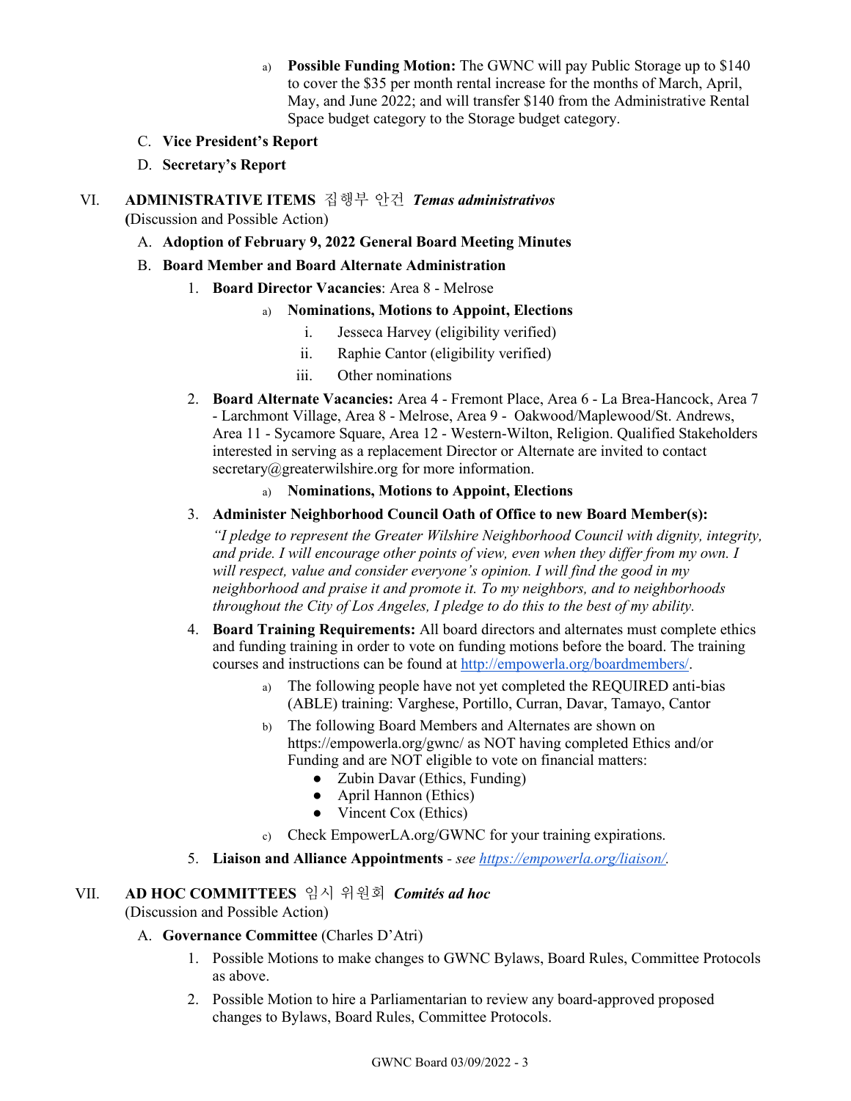- a) **Possible Funding Motion:** The GWNC will pay Public Storage up to \$140 to cover the \$35 per month rental increase for the months of March, April, May, and June 2022; and will transfer \$140 from the Administrative Rental Space budget category to the Storage budget category.
- C. **Vice President's Report**
- D. **Secretary's Report**
- VI. **ADMINISTRATIVE ITEMS** 집행부 안건*Temas administrativos* **(**Discussion and Possible Action)
	- A. **Adoption of February 9, 2022 General Board Meeting Minutes**
	- B. **Board Member and Board Alternate Administration**
		- 1. **Board Director Vacancies**: Area 8 Melrose
			- a) **Nominations, Motions to Appoint, Elections**
				- i. Jesseca Harvey (eligibility verified)
				- ii. Raphie Cantor (eligibility verified)
				- iii. Other nominations
		- 2. **Board Alternate Vacancies:** Area 4 Fremont Place, Area 6 La Brea-Hancock, Area 7 - Larchmont Village, Area 8 - Melrose, Area 9 - Oakwood/Maplewood/St. Andrews, Area 11 - Sycamore Square, Area 12 - Western-Wilton, Religion. Qualified Stakeholders interested in serving as a replacement Director or Alternate are invited to contact secretary@greaterwilshire.org for more information.
			- a) **Nominations, Motions to Appoint, Elections**
		- 3. **Administer Neighborhood Council Oath of Office to new Board Member(s):**

*"I pledge to represent the Greater Wilshire Neighborhood Council with dignity, integrity, and pride. I will encourage other points of view, even when they differ from my own. I will respect, value and consider everyone's opinion. I will find the good in my neighborhood and praise it and promote it. To my neighbors, and to neighborhoods throughout the City of Los Angeles, I pledge to do this to the best of my ability.*

- 4. **Board Training Requirements:** All board directors and alternates must complete ethics and funding training in order to vote on funding motions before the board. The training courses and instructions can be found at [http://empowerla.org/boardmembers/.](http://empowerla.org/boardmembers/)
	- a) The following people have not yet completed the REQUIRED anti-bias (ABLE) training: Varghese, Portillo, Curran, Davar, Tamayo, Cantor
	- b) The following Board Members and Alternates are shown on https://empowerla.org/gwnc/ as NOT having completed Ethics and/or Funding and are NOT eligible to vote on financial matters:
		- Zubin Davar (Ethics, Funding)
		- April Hannon (Ethics)
		- Vincent Cox (Ethics)
	- c) Check EmpowerLA.org/GWNC for your training expirations.
- 5. **Liaison and Alliance Appointments** *- see [https://empowerla.org/liaison/.](https://empowerla.org/liaison/)*

### VII. **AD HOC COMMITTEES** 임시 위원회*Comités ad hoc*

### (Discussion and Possible Action)

- A. **Governance Committee** (Charles D'Atri)
	- 1. Possible Motions to make changes to GWNC Bylaws, Board Rules, Committee Protocols as above.
	- 2. Possible Motion to hire a Parliamentarian to review any board-approved proposed changes to Bylaws, Board Rules, Committee Protocols.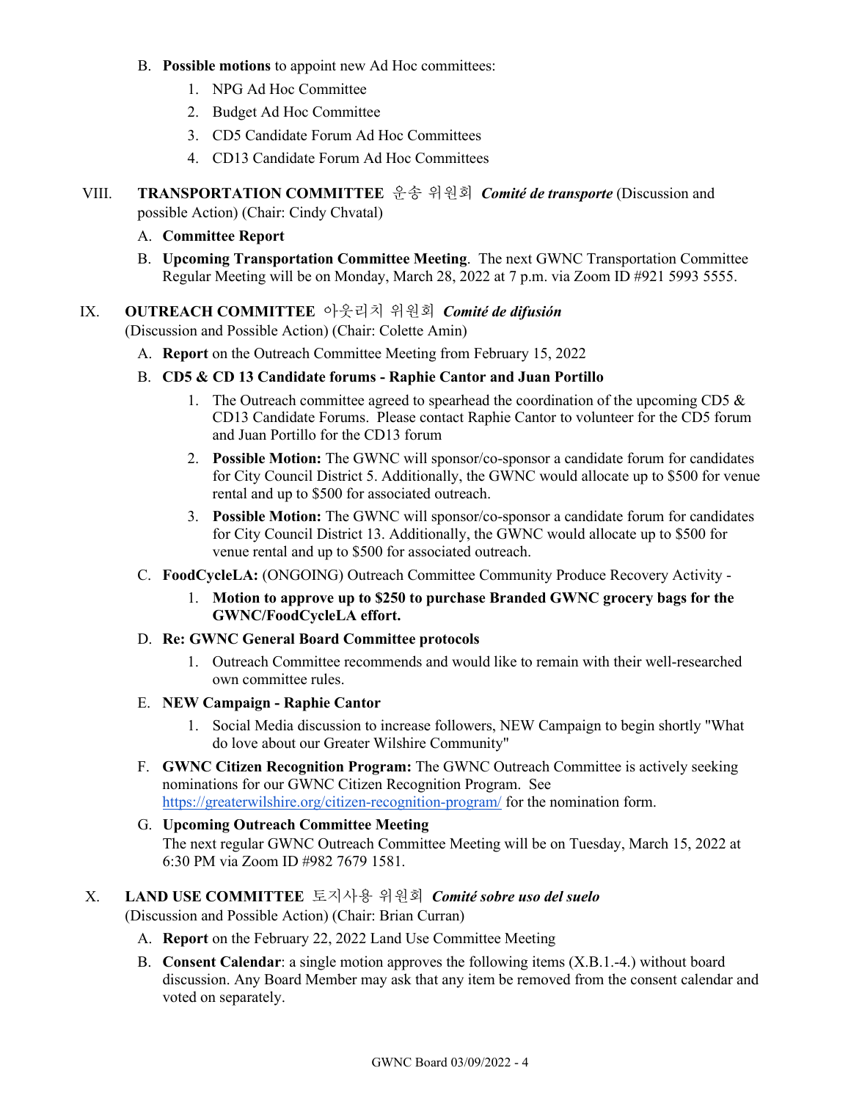- B. **Possible motions** to appoint new Ad Hoc committees:
	- 1. NPG Ad Hoc Committee
	- 2. Budget Ad Hoc Committee
	- 3. CD5 Candidate Forum Ad Hoc Committees
	- 4. CD13 Candidate Forum Ad Hoc Committees
- VIII. **TRANSPORTATION COMMITTEE** 운송 위원회*Comité de transporte* (Discussion and possible Action) (Chair: Cindy Chvatal)
	- A. **Committee Report**
	- B. **Upcoming Transportation Committee Meeting**. The next GWNC Transportation Committee Regular Meeting will be on Monday, March 28, 2022 at 7 p.m. via Zoom ID #921 5993 5555.
- IX. **OUTREACH COMMITTEE** 아웃리치 위원회*Comité de difusión*

(Discussion and Possible Action) (Chair: Colette Amin)

- A. **Report** on the Outreach Committee Meeting from February 15, 2022
- B. **CD5 & CD 13 Candidate forums - Raphie Cantor and Juan Portillo**
	- 1. The Outreach committee agreed to spearhead the coordination of the upcoming CD5 & CD13 Candidate Forums. Please contact Raphie Cantor to volunteer for the CD5 forum and Juan Portillo for the CD13 forum
	- 2. **Possible Motion:** The GWNC will sponsor/co-sponsor a candidate forum for candidates for City Council District 5. Additionally, the GWNC would allocate up to \$500 for venue rental and up to \$500 for associated outreach.
	- 3. **Possible Motion:** The GWNC will sponsor/co-sponsor a candidate forum for candidates for City Council District 13. Additionally, the GWNC would allocate up to \$500 for venue rental and up to \$500 for associated outreach.
- C. **FoodCycleLA:** (ONGOING) Outreach Committee Community Produce Recovery Activity
	- 1. **Motion to approve up to \$250 to purchase Branded GWNC grocery bags for the GWNC/FoodCycleLA effort.**
- D. **Re: GWNC General Board Committee protocols**
	- 1. Outreach Committee recommends and would like to remain with their well-researched own committee rules.
- E. **NEW Campaign - Raphie Cantor**
	- 1. Social Media discussion to increase followers, NEW Campaign to begin shortly "What do love about our Greater Wilshire Community"
- F. **GWNC Citizen Recognition Program:** The GWNC Outreach Committee is actively seeking nominations for our GWNC Citizen Recognition Program. See <https://greaterwilshire.org/citizen-recognition-program/> for the nomination form.
- G. **Upcoming Outreach Committee Meeting** The next regular GWNC Outreach Committee Meeting will be on Tuesday, March 15, 2022 at 6:30 PM via Zoom ID #982 7679 1581.
- X. **LAND USE COMMITTEE** 토지사용 위원회*Comité sobre uso del suelo* (Discussion and Possible Action) (Chair: Brian Curran)
	- A. **Report** on the February 22, 2022 Land Use Committee Meeting
	- B. **Consent Calendar**: a single motion approves the following items (X.B.1.-4.) without board discussion. Any Board Member may ask that any item be removed from the consent calendar and voted on separately.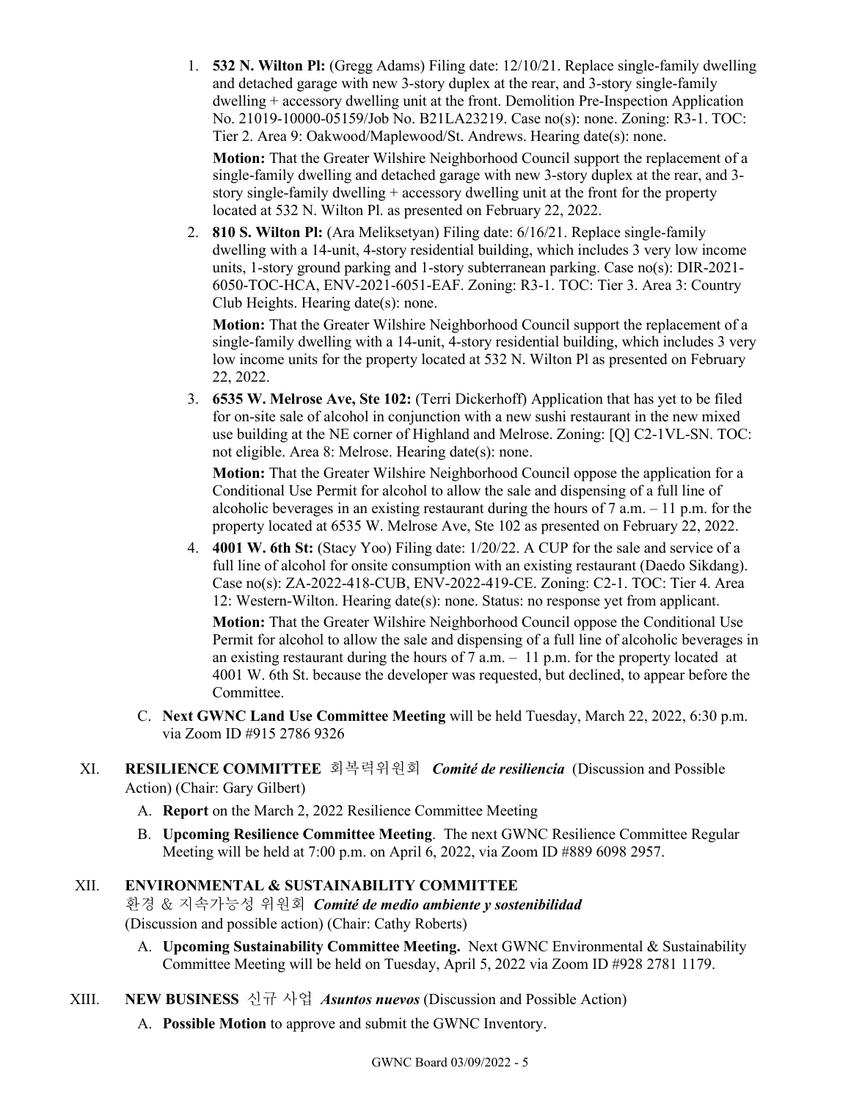1. **532 N. Wilton Pl:** (Gregg Adams) Filing date: 12/10/21. Replace single-family dwelling and detached garage with new 3-story duplex at the rear, and 3-story single-family dwelling + accessory dwelling unit at the front. Demolition Pre-Inspection Application No. 21019-10000-05159/Job No. B21LA23219. Case no(s): none. Zoning: R3-1. TOC: Tier 2. Area 9: Oakwood/Maplewood/St. Andrews. Hearing date(s): none.

**Motion:** That the Greater Wilshire Neighborhood Council support the replacement of a single-family dwelling and detached garage with new 3-story duplex at the rear, and 3 story single-family dwelling + accessory dwelling unit at the front for the property located at 532 N. Wilton Pl. as presented on February 22, 2022.

2. **810 S. Wilton Pl:** (Ara Meliksetyan) Filing date: 6/16/21. Replace single-family dwelling with a 14-unit, 4-story residential building, which includes 3 very low income units, 1-story ground parking and 1-story subterranean parking. Case no(s): DIR-2021- 6050-TOC-HCA, ENV-2021-6051-EAF. Zoning: R3-1. TOC: Tier 3. Area 3: Country Club Heights. Hearing date(s): none.

**Motion:** That the Greater Wilshire Neighborhood Council support the replacement of a single-family dwelling with a 14-unit, 4-story residential building, which includes 3 very low income units for the property located at 532 N. Wilton Pl as presented on February 22, 2022.

3. **6535 W. Melrose Ave, Ste 102:** (Terri Dickerhoff) Application that has yet to be filed for on-site sale of alcohol in conjunction with a new sushi restaurant in the new mixed use building at the NE corner of Highland and Melrose. Zoning: [Q] C2-1VL-SN. TOC: not eligible. Area 8: Melrose. Hearing date(s): none.

**Motion:** That the Greater Wilshire Neighborhood Council oppose the application for a Conditional Use Permit for alcohol to allow the sale and dispensing of a full line of alcoholic beverages in an existing restaurant during the hours of  $7$  a.m.  $-11$  p.m. for the property located at 6535 W. Melrose Ave, Ste 102 as presented on February 22, 2022.

4. **4001 W. 6th St:** (Stacy Yoo) Filing date: 1/20/22. A CUP for the sale and service of a full line of alcohol for onsite consumption with an existing restaurant (Daedo Sikdang). Case no(s): ZA-2022-418-CUB, ENV-2022-419-CE. Zoning: C2-1. TOC: Tier 4. Area 12: Western-Wilton. Hearing date(s): none. Status: no response yet from applicant.

**Motion:** That the Greater Wilshire Neighborhood Council oppose the Conditional Use Permit for alcohol to allow the sale and dispensing of a full line of alcoholic beverages in an existing restaurant during the hours of  $7$  a.m.  $-11$  p.m. for the property located at 4001 W. 6th St. because the developer was requested, but declined, to appear before the Committee.

C. **Next GWNC Land Use Committee Meeting** will be held Tuesday, March 22, 2022, 6:30 p.m. via Zoom ID #915 2786 9326

## XI. **RESILIENCE COMMITTEE** 회복력위원회 *Comité de resiliencia*(Discussion and Possible Action) (Chair: Gary Gilbert)

- A. **Report** on the March 2, 2022 Resilience Committee Meeting
- B. **Upcoming Resilience Committee Meeting**. The next GWNC Resilience Committee Regular Meeting will be held at 7:00 p.m. on April 6, 2022, via Zoom ID #889 6098 2957.

# XII. **ENVIRONMENTAL & SUSTAINABILITY COMMITTEE**

환경 & 지속가능성 위원회*Comité de medio ambiente y sostenibilidad* (Discussion and possible action) (Chair: Cathy Roberts)

- A. **Upcoming Sustainability Committee Meeting.** Next GWNC Environmental & Sustainability Committee Meeting will be held on Tuesday, April 5, 2022 via Zoom ID #928 2781 1179.
- XIII. **NEW BUSINESS** 신규 사업*Asuntos nuevos* (Discussion and Possible Action)
	- A. **Possible Motion** to approve and submit the GWNC Inventory.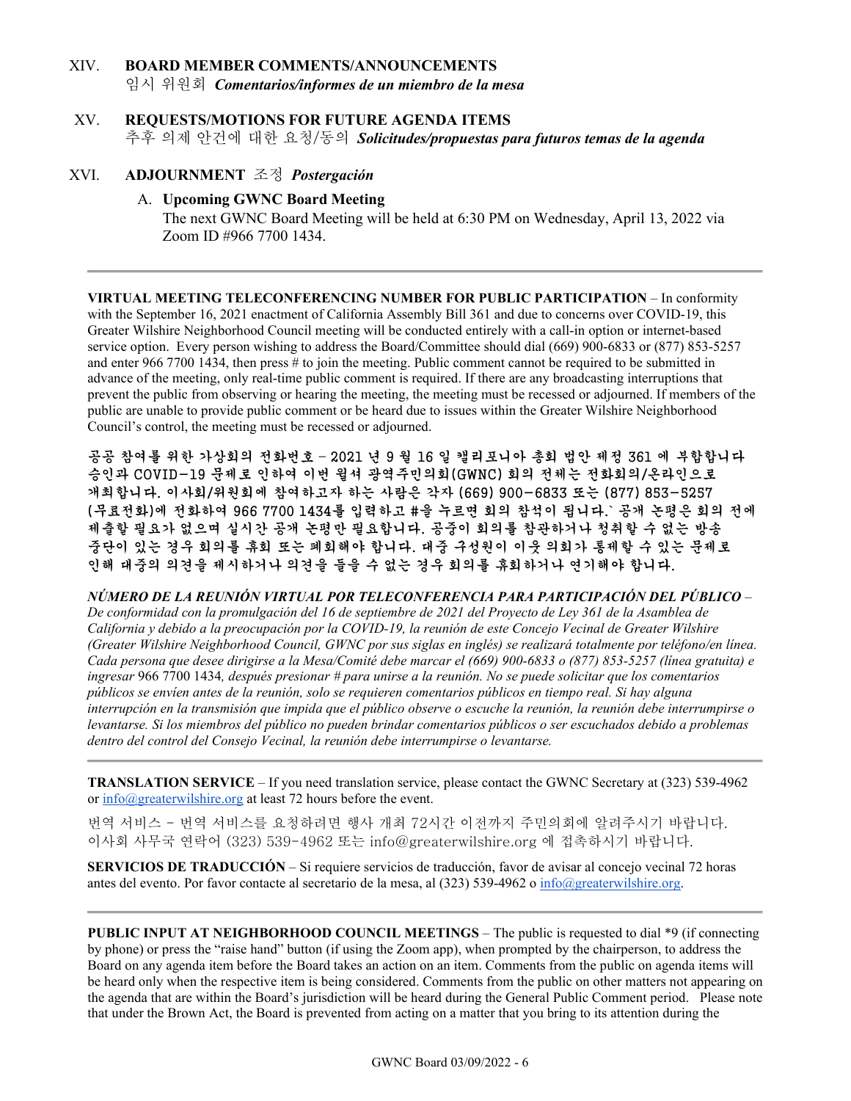# XIV. **BOARD MEMBER COMMENTS/ANNOUNCEMENTS**

임시 위원회*Comentarios/informes de un miembro de la mesa*

### XV. **REQUESTS/MOTIONS FOR FUTURE AGENDA ITEMS** 추후 의제 안건에 대한 요청/동의*Solicitudes/propuestas para futuros temas de la agenda*

### XVI. **ADJOURNMENT** 조정*Postergación*

### A. **Upcoming GWNC Board Meeting**

The next GWNC Board Meeting will be held at 6:30 PM on Wednesday, April 13, 2022 via Zoom ID #966 7700 1434.

**VIRTUAL MEETING TELECONFERENCING NUMBER FOR PUBLIC PARTICIPATION** – In conformity with the September 16, 2021 enactment of California Assembly Bill 361 and due to concerns over COVID-19, this Greater Wilshire Neighborhood Council meeting will be conducted entirely with a call-in option or internet-based service option. Every person wishing to address the Board/Committee should dial (669) 900-6833 or (877) 853-5257 and enter 966 7700 1434, then press # to join the meeting. Public comment cannot be required to be submitted in advance of the meeting, only real-time public comment is required. If there are any broadcasting interruptions that prevent the public from observing or hearing the meeting, the meeting must be recessed or adjourned. If members of the public are unable to provide public comment or be heard due to issues within the Greater Wilshire Neighborhood Council's control, the meeting must be recessed or adjourned.

공공 참여를 위한 가상회의 전화번호 – 2021 년 9 월 16 일 캘리포니아 총회 법안 제정 361 에 부합합니다 승인과 COVID-19 문제로 인하여 이번 윌셔 광역주민의회(GWNC) 회의 전체는 전화회의/온라인으로 개최합니다. 이사회/위원회에 참여하고자 하는 사람은 각자 (669) 900-6833 또는 (877) 853-5257 (무료전화)에 전화하여 966 7700 1434를 입력하고 #을 누르면 회의 참석이 됩니다.` 공개 논평은 회의 전에 제출할 필요가 없으며 실시간 공개 논평만 필요합니다. 공중이 회의를 참관하거나 청취할 수 없는 방송 중단이 있는 경우 회의를 휴회 또는 폐회해야 합니다. 대중 구성원이 이웃 의회가 통제할 수 있는 문제로 인해 대중의 의견을 제시하거나 의견을 들을 수 없는 경우 회의를 휴회하거나 연기해야 합니다.

*NÚMERO DE LA REUNIÓN VIRTUAL POR TELECONFERENCIA PARA PARTICIPACIÓN DEL PÚBLICO* – *De conformidad con la promulgación del 16 de septiembre de 2021 del Proyecto de Ley 361 de la Asamblea de California y debido a la preocupación por la COVID-19, la reunión de este Concejo Vecinal de Greater Wilshire (Greater Wilshire Neighborhood Council, GWNC por sus siglas en inglés) se realizará totalmente por teléfono/en línea. Cada persona que desee dirigirse a la Mesa/Comité debe marcar el (669) 900-6833 o (877) 853-5257 (línea gratuita) e ingresar* 966 7700 1434*, después presionar # para unirse a la reunión. No se puede solicitar que los comentarios públicos se envíen antes de la reunión, solo se requieren comentarios públicos en tiempo real. Si hay alguna interrupción en la transmisión que impida que el público observe o escuche la reunión, la reunión debe interrumpirse o levantarse. Si los miembros del público no pueden brindar comentarios públicos o ser escuchados debido a problemas dentro del control del Consejo Vecinal, la reunión debe interrumpirse o levantarse.*

**TRANSLATION SERVICE** – If you need translation service, please contact the GWNC Secretary at (323) 539-4962 or  $\frac{info(@greatestwilshire.org}{it least 72 hours before the event.$ 

번역 서비스 - 번역 서비스를 요청하려면 행사 개최 72시간 이전까지 주민의회에 알려주시기 바랍니다. 이사회 사무국 연락어 (323) 539-4962 또는 [info@greaterwilshire.org](mailto:info@greaterwilshire.org) 에 접촉하시기 바랍니다.

**SERVICIOS DE TRADUCCIÓN** – Si [requiere servicios de traducción, favor de avisar al concejo vecinal 72 horas](http://www.greaterwilshire.org/)  [antes del evento. Por favor contacte al secretario de la mesa, al \(323\) 539-4962 o](http://www.greaterwilshire.org/) [info@greaterwilshire.org](mailto:info@greaterwilshire.org)[.](http://www.greaterwilshire.org/)

**PUBLIC INPUT AT NEIGHBORHOOD COUNCIL MEETINGS** – The public is requested to dial \*9 (if connecting by phone) or press the "raise hand" button (if using the Zoom app), when prompted by the chairperson, to address the Board on any agenda item before the Board takes an action on an item. Comments from the public on agenda items will be heard only when the respective item is being considered. Comments from the public on other matters not appearing on the agenda that are within the Board's jurisdiction will be heard during the General Public Comment period. Please note that under the Brown Act, the Board is prevented from acting on a matter that you bring to its attention during the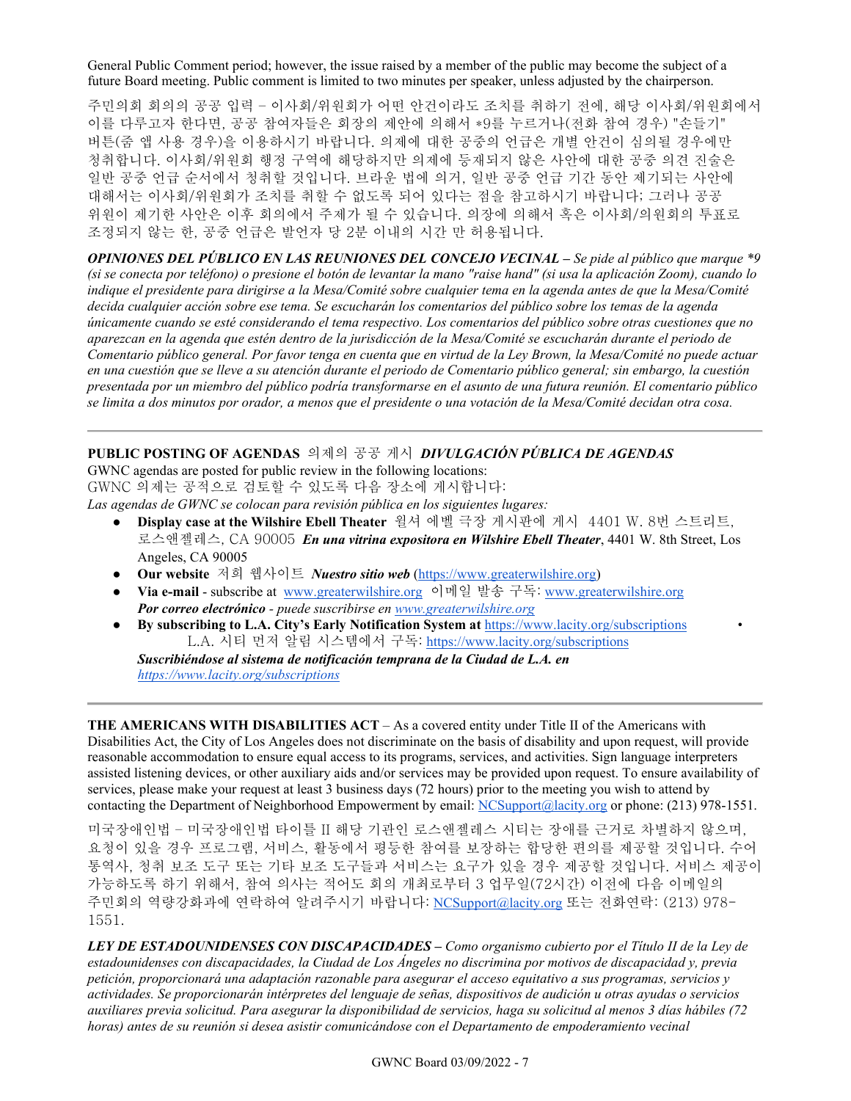General Public Comment period; however, the issue raised by a member of the public may become the subject of a future Board meeting. Public comment is limited to two minutes per speaker, unless adjusted by the chairperson.

주민의회 회의의 공공 입력 – 이사회/위원회가 어떤 안건이라도 조치를 취하기 전에, 해당 이사회/위원회에서 이를 다루고자 한다면, 공공 참여자들은 회장의 제안에 의해서 \*9를 누르거나(전화 참여 경우) "손들기" 버튼(줌 앱 사용 경우)을 이용하시기 바랍니다. 의제에 대한 공중의 언급은 개별 안건이 심의될 경우에만 청취합니다. 이사회/위원회 행정 구역에 해당하지만 의제에 등재되지 않은 사안에 대한 공중 의견 진술은 일반 공중 언급 순서에서 청취할 것입니다. 브라운 법에 의거, 일반 공중 언급 기간 동안 제기되는 사안에 대해서는 이사회/위원회가 조치를 취할 수 없도록 되어 있다는 점을 참고하시기 바랍니다; 그러나 공공 위원이 제기한 사안은 이후 회의에서 주제가 될 수 있습니다. 의장에 의해서 혹은 이사회/의원회의 투표로 조정되지 않는 한, 공중 언급은 발언자 당 2분 이내의 시간 만 허용됩니다.

*OPINIONES DEL PÚBLICO EN LAS REUNIONES DEL CONCEJO VECINAL – Se pide al público que marque \*9 (si se conecta por teléfono) o presione el botón de levantar la mano "raise hand" (si usa la aplicación Zoom), cuando lo indique el presidente para dirigirse a la Mesa/Comité sobre cualquier tema en la agenda antes de que la Mesa/Comité decida cualquier acción sobre ese tema. Se escucharán los comentarios del público sobre los temas de la agenda únicamente cuando se esté considerando el tema respectivo. Los comentarios del público sobre otras cuestiones que no aparezcan en la agenda que estén dentro de la jurisdicción de la Mesa/Comité se escucharán durante el periodo de Comentario público general. Por favor tenga en cuenta que en virtud de la Ley Brown, la Mesa/Comité no puede actuar en una cuestión que se lleve a su atención durante el periodo de Comentario público general; sin embargo, la cuestión presentada por un miembro del público podría transformarse en el asunto de una futura reunión. El comentario público se limita a dos minutos por orador, a menos que el presidente o una votación de la Mesa/Comité decidan otra cosa.*

## **PUBLIC POSTING OF AGENDAS** 의제의 공공 게시*DIVULGACIÓN PÚBLICA DE AGENDAS*

GWNC agendas are posted for public review in the following locations: GWNC 의제는 공적으로 검토할 수 있도록 다음 장소에 게시합니다:

*Las agendas de GWNC se colocan para revisión pública en los siguientes lugares:*

- **Display case at the Wilshire Ebell Theater** 윌셔 에벨 극장 게시판에 게시 4401 W. 8번 스트리트, 로스앤젤레스, CA 90005 *En una vitrina expositora en Wilshire Ebell Theater*, 4401 W. 8th Street, Los Angeles, CA 90005
- **Our website** 저희 웹사이트 *Nuestro sitio web* [\(https://www.greaterwilshire.org\)](https://www.greaterwilshire.org/)
- **Via e-mail** subscribe at [www.greaterwilshire.org](http://www.greaterwilshire.org/) 이메일 발송 구독: [www.greaterwilshire.org](http://www.greaterwilshire.org/) *Por correo electrónico - puede suscribirse en [www.greaterwilshire.org](http://www.greaterwilshire.org/)*
- **By subscribing to L.A. City's Early Notification System at** <https://www.lacity.org/subscriptions> L.A. 시티 먼저 알림 시스템에서 구독: <https://www.lacity.org/subscriptions>

*Suscribiéndose al sistema de notificación temprana de la Ciudad de L.A. en <https://www.lacity.org/subscriptions>*

**THE AMERICANS WITH DISABILITIES ACT** – As a covered entity under Title II of the Americans with Disabilities Act, the City of Los Angeles does not discriminate on the basis of disability and upon request, will provide reasonable accommodation to ensure equal access to its programs, services, and activities. Sign language interpreters assisted listening devices, or other auxiliary aids and/or services may be provided upon request. To ensure availability of services, please make your request at least 3 business days (72 hours) prior to the meeting you wish to attend by contacting the Department of Neighborhood Empowerment by email: [NCSupport@lacity.org](mailto:NCSupport@lacity.org) or phone: (213) 978-1551.

미국장애인법 – 미국장애인법 타이틀 II 해당 기관인 로스앤젤레스 시티는 장애를 근거로 차별하지 않으며, 요청이 있을 경우 프로그램, 서비스, 활동에서 평등한 참여를 보장하는 합당한 편의를 제공할 것입니다. 수어 통역사, 청취 보조 도구 또는 기타 보조 도구들과 서비스는 요구가 있을 경우 제공할 것입니다. 서비스 제공이 가능하도록 하기 위해서, 참여 의사는 적어도 회의 개최로부터 3 업무일(72시간) 이전에 다음 이메일의 주민회의 역량강화과에 연락하여 알려주시기 바랍니다: [NCSupport@lacity.org](mailto:NCSupport@lacity.org) 또는 전화연락: (213) 978- 1551.

*LEY DE ESTADOUNIDENSES CON DISCAPACIDADES – Como organismo cubierto por el Título II de la Ley de estadounidenses con discapacidades, la Ciudad de Los Ángeles no discrimina por motivos de discapacidad y, previa petición, proporcionará una adaptación razonable para asegurar el acceso equitativo a sus programas, servicios y actividades. Se proporcionarán intérpretes del lenguaje de señas, dispositivos de audición u otras ayudas o servicios auxiliares previa solicitud. Para asegurar la disponibilidad de servicios, haga su solicitud al menos 3 días hábiles (72 horas) antes de su reunión si desea asistir comunicándose con el Departamento de empoderamiento vecinal*